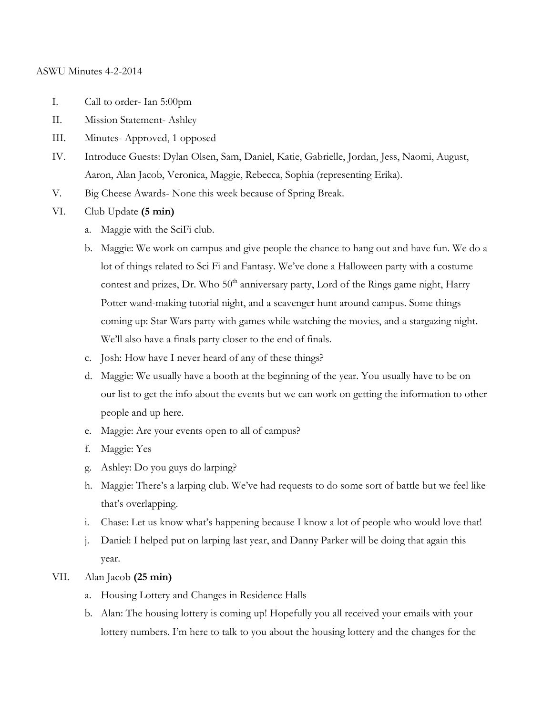## ASWU Minutes 4-2-2014

- I. Call to order- Ian 5:00pm
- II. Mission Statement- Ashley
- III. Minutes- Approved, 1 opposed
- IV. Introduce Guests: Dylan Olsen, Sam, Daniel, Katie, Gabrielle, Jordan, Jess, Naomi, August, Aaron, Alan Jacob, Veronica, Maggie, Rebecca, Sophia (representing Erika).
- V. Big Cheese Awards- None this week because of Spring Break.
- VI. Club Update **(5 min)**
	- a. Maggie with the SciFi club.
	- b. Maggie: We work on campus and give people the chance to hang out and have fun. We do a lot of things related to Sci Fi and Fantasy. We've done a Halloween party with a costume contest and prizes, Dr. Who  $50<sup>th</sup>$  anniversary party, Lord of the Rings game night, Harry Potter wand-making tutorial night, and a scavenger hunt around campus. Some things coming up: Star Wars party with games while watching the movies, and a stargazing night. We'll also have a finals party closer to the end of finals.
	- c. Josh: How have I never heard of any of these things?
	- d. Maggie: We usually have a booth at the beginning of the year. You usually have to be on our list to get the info about the events but we can work on getting the information to other people and up here.
	- e. Maggie: Are your events open to all of campus?
	- f. Maggie: Yes
	- g. Ashley: Do you guys do larping?
	- h. Maggie: There's a larping club. We've had requests to do some sort of battle but we feel like that's overlapping.
	- i. Chase: Let us know what's happening because I know a lot of people who would love that!
	- j. Daniel: I helped put on larping last year, and Danny Parker will be doing that again this year.
- VII. Alan Jacob **(25 min)**
	- a. Housing Lottery and Changes in Residence Halls
	- b. Alan: The housing lottery is coming up! Hopefully you all received your emails with your lottery numbers. I'm here to talk to you about the housing lottery and the changes for the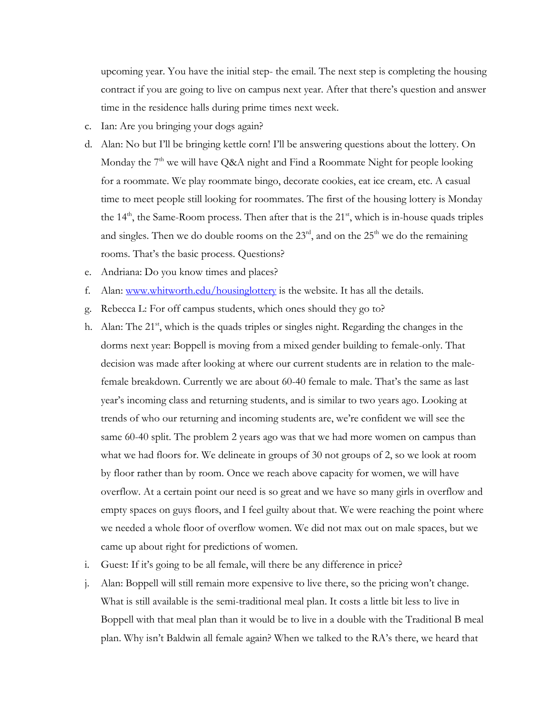upcoming year. You have the initial step- the email. The next step is completing the housing contract if you are going to live on campus next year. After that there's question and answer time in the residence halls during prime times next week.

- c. Ian: Are you bringing your dogs again?
- d. Alan: No but I'll be bringing kettle corn! I'll be answering questions about the lottery. On Monday the  $7<sup>th</sup>$  we will have Q&A night and Find a Roommate Night for people looking for a roommate. We play roommate bingo, decorate cookies, eat ice cream, etc. A casual time to meet people still looking for roommates. The first of the housing lottery is Monday the  $14<sup>th</sup>$ , the Same-Room process. Then after that is the  $21<sup>st</sup>$ , which is in-house quads triples and singles. Then we do double rooms on the  $23<sup>rd</sup>$ , and on the  $25<sup>th</sup>$  we do the remaining rooms. That's the basic process. Questions?
- e. Andriana: Do you know times and places?
- f. Alan: www.whitworth.edu/housinglottery is the website. It has all the details.
- g. Rebecca L: For off campus students, which ones should they go to?
- h. Alan: The 21<sup>st</sup>, which is the quads triples or singles night. Regarding the changes in the dorms next year: Boppell is moving from a mixed gender building to female-only. That decision was made after looking at where our current students are in relation to the malefemale breakdown. Currently we are about 60-40 female to male. That's the same as last year's incoming class and returning students, and is similar to two years ago. Looking at trends of who our returning and incoming students are, we're confident we will see the same 60-40 split. The problem 2 years ago was that we had more women on campus than what we had floors for. We delineate in groups of 30 not groups of 2, so we look at room by floor rather than by room. Once we reach above capacity for women, we will have overflow. At a certain point our need is so great and we have so many girls in overflow and empty spaces on guys floors, and I feel guilty about that. We were reaching the point where we needed a whole floor of overflow women. We did not max out on male spaces, but we came up about right for predictions of women.
- i. Guest: If it's going to be all female, will there be any difference in price?
- j. Alan: Boppell will still remain more expensive to live there, so the pricing won't change. What is still available is the semi-traditional meal plan. It costs a little bit less to live in Boppell with that meal plan than it would be to live in a double with the Traditional B meal plan. Why isn't Baldwin all female again? When we talked to the RA's there, we heard that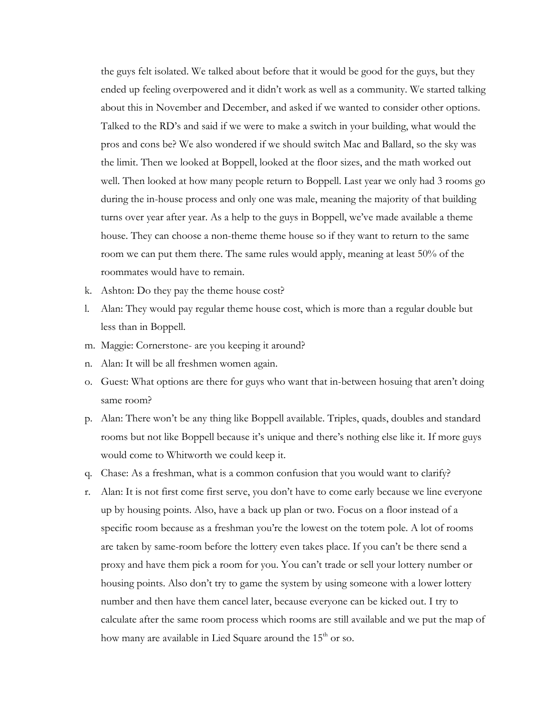the guys felt isolated. We talked about before that it would be good for the guys, but they ended up feeling overpowered and it didn't work as well as a community. We started talking about this in November and December, and asked if we wanted to consider other options. Talked to the RD's and said if we were to make a switch in your building, what would the pros and cons be? We also wondered if we should switch Mac and Ballard, so the sky was the limit. Then we looked at Boppell, looked at the floor sizes, and the math worked out well. Then looked at how many people return to Boppell. Last year we only had 3 rooms go during the in-house process and only one was male, meaning the majority of that building turns over year after year. As a help to the guys in Boppell, we've made available a theme house. They can choose a non-theme theme house so if they want to return to the same room we can put them there. The same rules would apply, meaning at least 50% of the roommates would have to remain.

- k. Ashton: Do they pay the theme house cost?
- l. Alan: They would pay regular theme house cost, which is more than a regular double but less than in Boppell.
- m. Maggie: Cornerstone- are you keeping it around?
- n. Alan: It will be all freshmen women again.
- o. Guest: What options are there for guys who want that in-between hosuing that aren't doing same room?
- p. Alan: There won't be any thing like Boppell available. Triples, quads, doubles and standard rooms but not like Boppell because it's unique and there's nothing else like it. If more guys would come to Whitworth we could keep it.
- q. Chase: As a freshman, what is a common confusion that you would want to clarify?
- r. Alan: It is not first come first serve, you don't have to come early because we line everyone up by housing points. Also, have a back up plan or two. Focus on a floor instead of a specific room because as a freshman you're the lowest on the totem pole. A lot of rooms are taken by same-room before the lottery even takes place. If you can't be there send a proxy and have them pick a room for you. You can't trade or sell your lottery number or housing points. Also don't try to game the system by using someone with a lower lottery number and then have them cancel later, because everyone can be kicked out. I try to calculate after the same room process which rooms are still available and we put the map of how many are available in Lied Square around the 15<sup>th</sup> or so.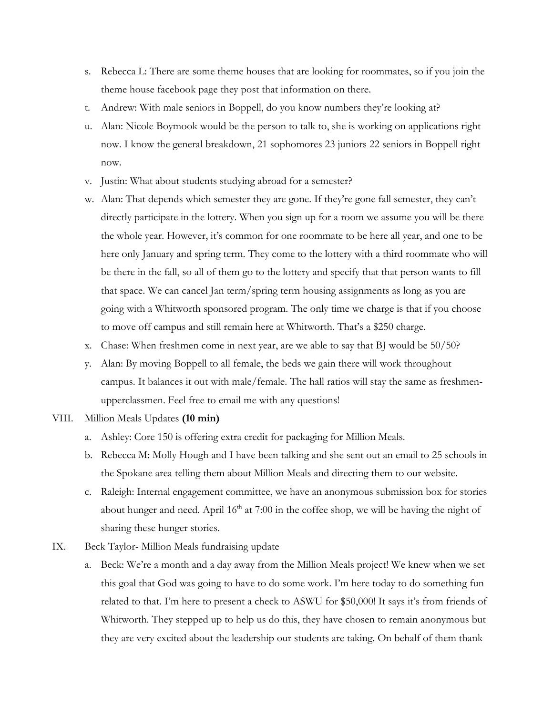- s. Rebecca L: There are some theme houses that are looking for roommates, so if you join the theme house facebook page they post that information on there.
- t. Andrew: With male seniors in Boppell, do you know numbers they're looking at?
- u. Alan: Nicole Boymook would be the person to talk to, she is working on applications right now. I know the general breakdown, 21 sophomores 23 juniors 22 seniors in Boppell right now.
- v. Justin: What about students studying abroad for a semester?
- w. Alan: That depends which semester they are gone. If they're gone fall semester, they can't directly participate in the lottery. When you sign up for a room we assume you will be there the whole year. However, it's common for one roommate to be here all year, and one to be here only January and spring term. They come to the lottery with a third roommate who will be there in the fall, so all of them go to the lottery and specify that that person wants to fill that space. We can cancel Jan term/spring term housing assignments as long as you are going with a Whitworth sponsored program. The only time we charge is that if you choose to move off campus and still remain here at Whitworth. That's a \$250 charge.
- x. Chase: When freshmen come in next year, are we able to say that BJ would be 50/50?
- y. Alan: By moving Boppell to all female, the beds we gain there will work throughout campus. It balances it out with male/female. The hall ratios will stay the same as freshmenupperclassmen. Feel free to email me with any questions!
- VIII. Million Meals Updates **(10 min)**
	- a. Ashley: Core 150 is offering extra credit for packaging for Million Meals.
	- b. Rebecca M: Molly Hough and I have been talking and she sent out an email to 25 schools in the Spokane area telling them about Million Meals and directing them to our website.
	- c. Raleigh: Internal engagement committee, we have an anonymous submission box for stories about hunger and need. April  $16<sup>th</sup>$  at 7:00 in the coffee shop, we will be having the night of sharing these hunger stories.
- IX. Beck Taylor- Million Meals fundraising update
	- a. Beck: We're a month and a day away from the Million Meals project! We knew when we set this goal that God was going to have to do some work. I'm here today to do something fun related to that. I'm here to present a check to ASWU for \$50,000! It says it's from friends of Whitworth. They stepped up to help us do this, they have chosen to remain anonymous but they are very excited about the leadership our students are taking. On behalf of them thank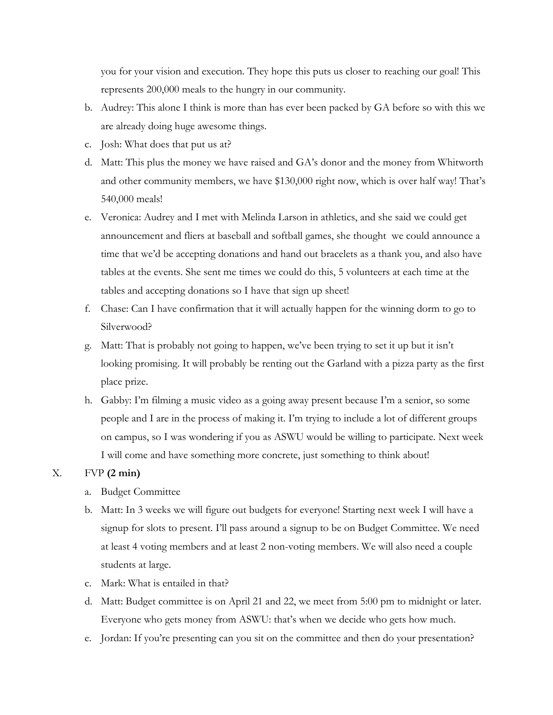you for your vision and execution. They hope this puts us closer to reaching our goal! This represents 200,000 meals to the hungry in our community.

- b. Audrey: This alone I think is more than has ever been packed by GA before so with this we are already doing huge awesome things.
- c. Josh: What does that put us at?
- d. Matt: This plus the money we have raised and GA's donor and the money from Whitworth and other community members, we have \$130,000 right now, which is over half way! That's 540,000 meals!
- e. Veronica: Audrey and I met with Melinda Larson in athletics, and she said we could get announcement and fliers at baseball and softball games, she thought we could announce a time that we'd be accepting donations and hand out bracelets as a thank you, and also have tables at the events. She sent me times we could do this, 5 volunteers at each time at the tables and accepting donations so I have that sign up sheet!
- f. Chase: Can I have confirmation that it will actually happen for the winning dorm to go to Silverwood?
- g. Matt: That is probably not going to happen, we've been trying to set it up but it isn't looking promising. It will probably be renting out the Garland with a pizza party as the first place prize.
- h. Gabby: I'm filming a music video as a going away present because I'm a senior, so some people and I are in the process of making it. I'm trying to include a lot of different groups on campus, so I was wondering if you as ASWU would be willing to participate. Next week I will come and have something more concrete, just something to think about!

## X. FVP **(2 min)**

- a. Budget Committee
- b. Matt: In 3 weeks we will figure out budgets for everyone! Starting next week I will have a signup for slots to present. I'll pass around a signup to be on Budget Committee. We need at least 4 voting members and at least 2 non-voting members. We will also need a couple students at large.
- c. Mark: What is entailed in that?
- d. Matt: Budget committee is on April 21 and 22, we meet from 5:00 pm to midnight or later. Everyone who gets money from ASWU: that's when we decide who gets how much.
- e. Jordan: If you're presenting can you sit on the committee and then do your presentation?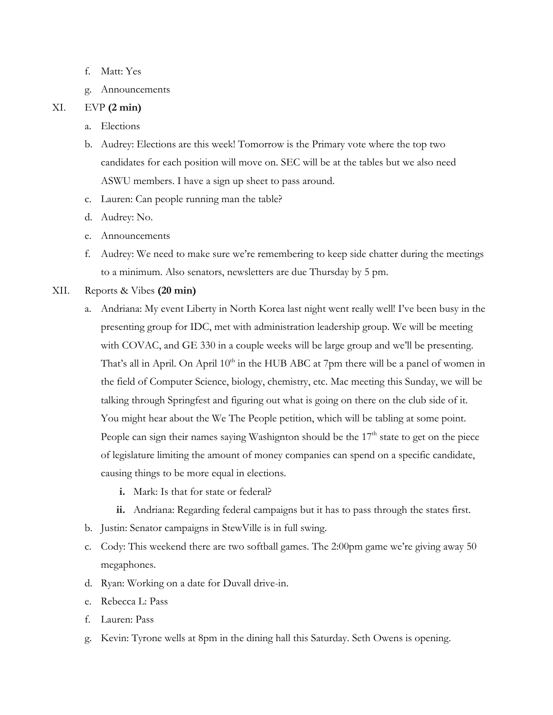- f. Matt: Yes
- g. Announcements

## XI. EVP **(2 min)**

- a. Elections
- b. Audrey: Elections are this week! Tomorrow is the Primary vote where the top two candidates for each position will move on. SEC will be at the tables but we also need ASWU members. I have a sign up sheet to pass around.
- c. Lauren: Can people running man the table?
- d. Audrey: No.
- e. Announcements
- f. Audrey: We need to make sure we're remembering to keep side chatter during the meetings to a minimum. Also senators, newsletters are due Thursday by 5 pm.
- XII. Reports & Vibes **(20 min)**
	- a. Andriana: My event Liberty in North Korea last night went really well! I've been busy in the presenting group for IDC, met with administration leadership group. We will be meeting with COVAC, and GE 330 in a couple weeks will be large group and we'll be presenting. That's all in April. On April  $10<sup>th</sup>$  in the HUB ABC at 7pm there will be a panel of women in the field of Computer Science, biology, chemistry, etc. Mac meeting this Sunday, we will be talking through Springfest and figuring out what is going on there on the club side of it. You might hear about the We The People petition, which will be tabling at some point. People can sign their names saying Washignton should be the  $17<sup>th</sup>$  state to get on the piece of legislature limiting the amount of money companies can spend on a specific candidate, causing things to be more equal in elections.
		- **i.** Mark: Is that for state or federal?
		- **ii.** Andriana: Regarding federal campaigns but it has to pass through the states first.
	- b. Justin: Senator campaigns in StewVille is in full swing.
	- c. Cody: This weekend there are two softball games. The 2:00pm game we're giving away 50 megaphones.
	- d. Ryan: Working on a date for Duvall drive-in.
	- e. Rebecca L: Pass
	- f. Lauren: Pass
	- g. Kevin: Tyrone wells at 8pm in the dining hall this Saturday. Seth Owens is opening.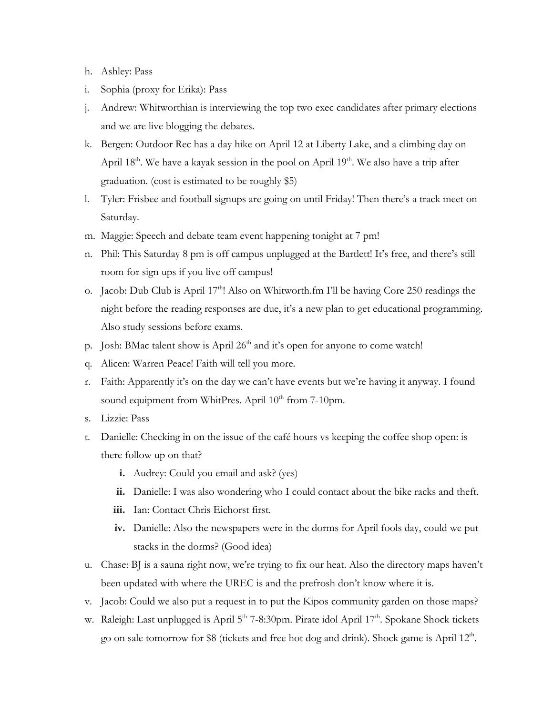- h. Ashley: Pass
- i. Sophia (proxy for Erika): Pass
- j. Andrew: Whitworthian is interviewing the top two exec candidates after primary elections and we are live blogging the debates.
- k. Bergen: Outdoor Rec has a day hike on April 12 at Liberty Lake, and a climbing day on April  $18<sup>th</sup>$ . We have a kayak session in the pool on April  $19<sup>th</sup>$ . We also have a trip after graduation. (cost is estimated to be roughly \$5)
- l. Tyler: Frisbee and football signups are going on until Friday! Then there's a track meet on Saturday.
- m. Maggie: Speech and debate team event happening tonight at 7 pm!
- n. Phil: This Saturday 8 pm is off campus unplugged at the Bartlett! It's free, and there's still room for sign ups if you live off campus!
- o. Jacob: Dub Club is April 17<sup>th</sup>! Also on Whitworth.fm I'll be having Core 250 readings the night before the reading responses are due, it's a new plan to get educational programming. Also study sessions before exams.
- p. Josh: BMac talent show is April 26<sup>th</sup> and it's open for anyone to come watch!
- q. Alicen: Warren Peace! Faith will tell you more.
- r. Faith: Apparently it's on the day we can't have events but we're having it anyway. I found sound equipment from WhitPres. April 10<sup>th</sup> from 7-10pm.
- s. Lizzie: Pass
- t. Danielle: Checking in on the issue of the café hours vs keeping the coffee shop open: is there follow up on that?
	- **i.** Audrey: Could you email and ask? (yes)
	- **ii.** Danielle: I was also wondering who I could contact about the bike racks and theft.
	- **iii.** Ian: Contact Chris Eichorst first.
	- **iv.** Danielle: Also the newspapers were in the dorms for April fools day, could we put stacks in the dorms? (Good idea)
- u. Chase: BJ is a sauna right now, we're trying to fix our heat. Also the directory maps haven't been updated with where the UREC is and the prefrosh don't know where it is.
- v. Jacob: Could we also put a request in to put the Kipos community garden on those maps?
- w. Raleigh: Last unplugged is April  $5<sup>th</sup> 7-8:30$ pm. Pirate idol April  $17<sup>th</sup>$ . Spokane Shock tickets go on sale tomorrow for \$8 (tickets and free hot dog and drink). Shock game is April 12<sup>th</sup>.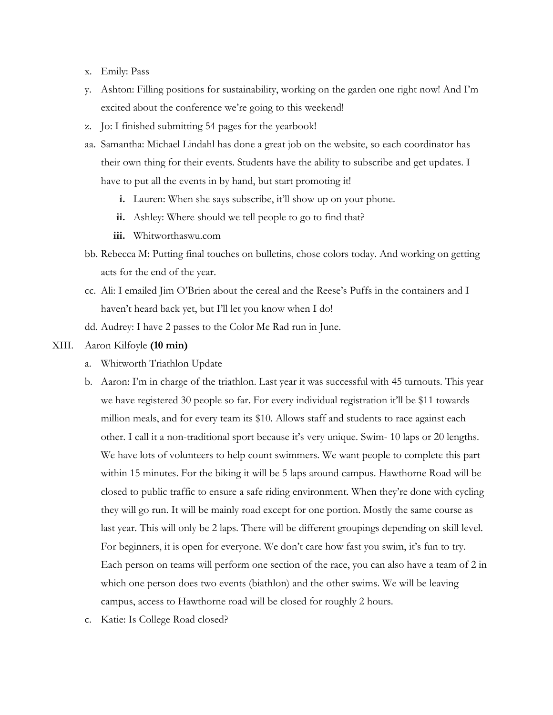- x. Emily: Pass
- y. Ashton: Filling positions for sustainability, working on the garden one right now! And I'm excited about the conference we're going to this weekend!
- z. Jo: I finished submitting 54 pages for the yearbook!
- aa. Samantha: Michael Lindahl has done a great job on the website, so each coordinator has their own thing for their events. Students have the ability to subscribe and get updates. I have to put all the events in by hand, but start promoting it!
	- **i.** Lauren: When she says subscribe, it'll show up on your phone.
	- **ii.** Ashley: Where should we tell people to go to find that?
	- **iii.** Whitworthaswu.com
- bb. Rebecca M: Putting final touches on bulletins, chose colors today. And working on getting acts for the end of the year.
- cc. Ali: I emailed Jim O'Brien about the cereal and the Reese's Puffs in the containers and I haven't heard back yet, but I'll let you know when I do!
- dd. Audrey: I have 2 passes to the Color Me Rad run in June.
- XIII. Aaron Kilfoyle **(10 min)**
	- a. Whitworth Triathlon Update
	- b. Aaron: I'm in charge of the triathlon. Last year it was successful with 45 turnouts. This year we have registered 30 people so far. For every individual registration it'll be \$11 towards million meals, and for every team its \$10. Allows staff and students to race against each other. I call it a non-traditional sport because it's very unique. Swim- 10 laps or 20 lengths. We have lots of volunteers to help count swimmers. We want people to complete this part within 15 minutes. For the biking it will be 5 laps around campus. Hawthorne Road will be closed to public traffic to ensure a safe riding environment. When they're done with cycling they will go run. It will be mainly road except for one portion. Mostly the same course as last year. This will only be 2 laps. There will be different groupings depending on skill level. For beginners, it is open for everyone. We don't care how fast you swim, it's fun to try. Each person on teams will perform one section of the race, you can also have a team of 2 in which one person does two events (biathlon) and the other swims. We will be leaving campus, access to Hawthorne road will be closed for roughly 2 hours.
	- c. Katie: Is College Road closed?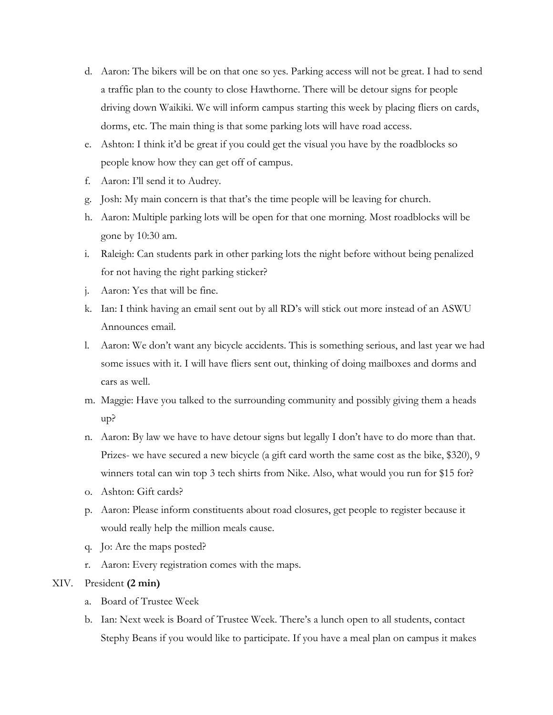- d. Aaron: The bikers will be on that one so yes. Parking access will not be great. I had to send a traffic plan to the county to close Hawthorne. There will be detour signs for people driving down Waikiki. We will inform campus starting this week by placing fliers on cards, dorms, etc. The main thing is that some parking lots will have road access.
- e. Ashton: I think it'd be great if you could get the visual you have by the roadblocks so people know how they can get off of campus.
- f. Aaron: I'll send it to Audrey.
- g. Josh: My main concern is that that's the time people will be leaving for church.
- h. Aaron: Multiple parking lots will be open for that one morning. Most roadblocks will be gone by 10:30 am.
- i. Raleigh: Can students park in other parking lots the night before without being penalized for not having the right parking sticker?
- j. Aaron: Yes that will be fine.
- k. Ian: I think having an email sent out by all RD's will stick out more instead of an ASWU Announces email.
- l. Aaron: We don't want any bicycle accidents. This is something serious, and last year we had some issues with it. I will have fliers sent out, thinking of doing mailboxes and dorms and cars as well.
- m. Maggie: Have you talked to the surrounding community and possibly giving them a heads up?
- n. Aaron: By law we have to have detour signs but legally I don't have to do more than that. Prizes- we have secured a new bicycle (a gift card worth the same cost as the bike, \$320), 9 winners total can win top 3 tech shirts from Nike. Also, what would you run for \$15 for?
- o. Ashton: Gift cards?
- p. Aaron: Please inform constituents about road closures, get people to register because it would really help the million meals cause.
- q. Jo: Are the maps posted?
- r. Aaron: Every registration comes with the maps.

## XIV. President **(2 min)**

- a. Board of Trustee Week
- b. Ian: Next week is Board of Trustee Week. There's a lunch open to all students, contact Stephy Beans if you would like to participate. If you have a meal plan on campus it makes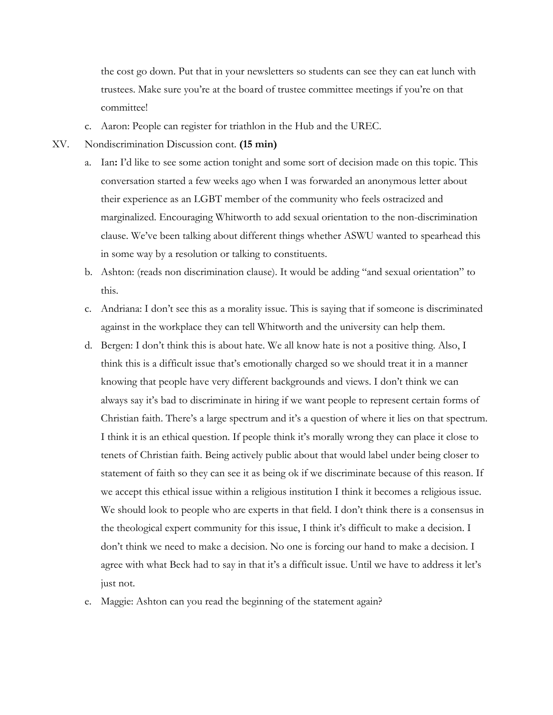the cost go down. Put that in your newsletters so students can see they can eat lunch with trustees. Make sure you're at the board of trustee committee meetings if you're on that committee!

- c. Aaron: People can register for triathlon in the Hub and the UREC.
- XV. Nondiscrimination Discussion cont. **(15 min)**
	- a. Ian**:** I'd like to see some action tonight and some sort of decision made on this topic. This conversation started a few weeks ago when I was forwarded an anonymous letter about their experience as an LGBT member of the community who feels ostracized and marginalized. Encouraging Whitworth to add sexual orientation to the non-discrimination clause. We've been talking about different things whether ASWU wanted to spearhead this in some way by a resolution or talking to constituents.
	- b. Ashton: (reads non discrimination clause). It would be adding "and sexual orientation" to this.
	- c. Andriana: I don't see this as a morality issue. This is saying that if someone is discriminated against in the workplace they can tell Whitworth and the university can help them.
	- d. Bergen: I don't think this is about hate. We all know hate is not a positive thing. Also, I think this is a difficult issue that's emotionally charged so we should treat it in a manner knowing that people have very different backgrounds and views. I don't think we can always say it's bad to discriminate in hiring if we want people to represent certain forms of Christian faith. There's a large spectrum and it's a question of where it lies on that spectrum. I think it is an ethical question. If people think it's morally wrong they can place it close to tenets of Christian faith. Being actively public about that would label under being closer to statement of faith so they can see it as being ok if we discriminate because of this reason. If we accept this ethical issue within a religious institution I think it becomes a religious issue. We should look to people who are experts in that field. I don't think there is a consensus in the theological expert community for this issue, I think it's difficult to make a decision. I don't think we need to make a decision. No one is forcing our hand to make a decision. I agree with what Beck had to say in that it's a difficult issue. Until we have to address it let's just not.
	- e. Maggie: Ashton can you read the beginning of the statement again?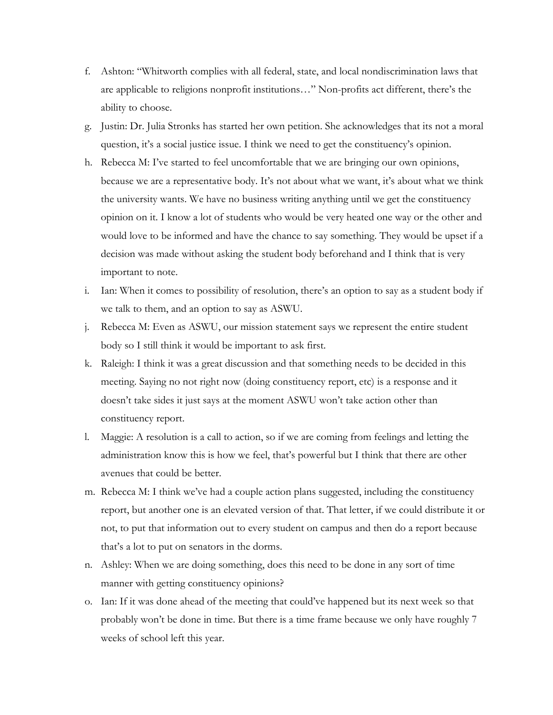- f. Ashton: "Whitworth complies with all federal, state, and local nondiscrimination laws that are applicable to religions nonprofit institutions…" Non-profits act different, there's the ability to choose.
- g. Justin: Dr. Julia Stronks has started her own petition. She acknowledges that its not a moral question, it's a social justice issue. I think we need to get the constituency's opinion.
- h. Rebecca M: I've started to feel uncomfortable that we are bringing our own opinions, because we are a representative body. It's not about what we want, it's about what we think the university wants. We have no business writing anything until we get the constituency opinion on it. I know a lot of students who would be very heated one way or the other and would love to be informed and have the chance to say something. They would be upset if a decision was made without asking the student body beforehand and I think that is very important to note.
- i. Ian: When it comes to possibility of resolution, there's an option to say as a student body if we talk to them, and an option to say as ASWU.
- j. Rebecca M: Even as ASWU, our mission statement says we represent the entire student body so I still think it would be important to ask first.
- k. Raleigh: I think it was a great discussion and that something needs to be decided in this meeting. Saying no not right now (doing constituency report, etc) is a response and it doesn't take sides it just says at the moment ASWU won't take action other than constituency report.
- l. Maggie: A resolution is a call to action, so if we are coming from feelings and letting the administration know this is how we feel, that's powerful but I think that there are other avenues that could be better.
- m. Rebecca M: I think we've had a couple action plans suggested, including the constituency report, but another one is an elevated version of that. That letter, if we could distribute it or not, to put that information out to every student on campus and then do a report because that's a lot to put on senators in the dorms.
- n. Ashley: When we are doing something, does this need to be done in any sort of time manner with getting constituency opinions?
- o. Ian: If it was done ahead of the meeting that could've happened but its next week so that probably won't be done in time. But there is a time frame because we only have roughly 7 weeks of school left this year.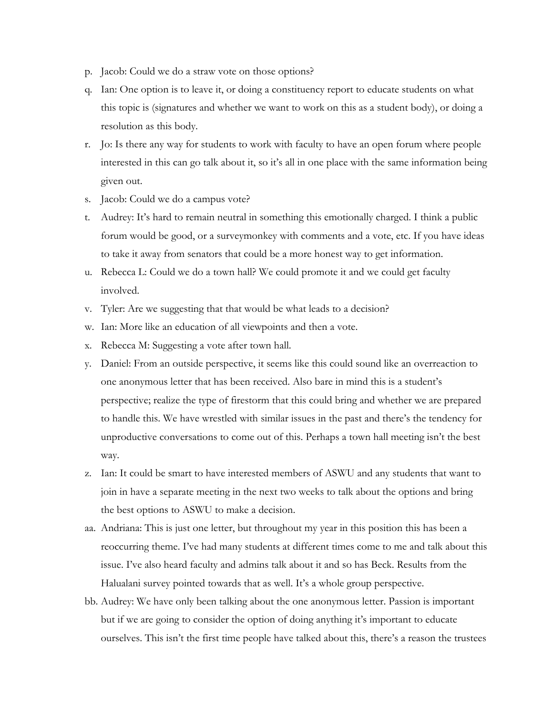- p. Jacob: Could we do a straw vote on those options?
- q. Ian: One option is to leave it, or doing a constituency report to educate students on what this topic is (signatures and whether we want to work on this as a student body), or doing a resolution as this body.
- r. Jo: Is there any way for students to work with faculty to have an open forum where people interested in this can go talk about it, so it's all in one place with the same information being given out.
- s. Jacob: Could we do a campus vote?
- t. Audrey: It's hard to remain neutral in something this emotionally charged. I think a public forum would be good, or a surveymonkey with comments and a vote, etc. If you have ideas to take it away from senators that could be a more honest way to get information.
- u. Rebecca L: Could we do a town hall? We could promote it and we could get faculty involved.
- v. Tyler: Are we suggesting that that would be what leads to a decision?
- w. Ian: More like an education of all viewpoints and then a vote.
- x. Rebecca M: Suggesting a vote after town hall.
- y. Daniel: From an outside perspective, it seems like this could sound like an overreaction to one anonymous letter that has been received. Also bare in mind this is a student's perspective; realize the type of firestorm that this could bring and whether we are prepared to handle this. We have wrestled with similar issues in the past and there's the tendency for unproductive conversations to come out of this. Perhaps a town hall meeting isn't the best way.
- z. Ian: It could be smart to have interested members of ASWU and any students that want to join in have a separate meeting in the next two weeks to talk about the options and bring the best options to ASWU to make a decision.
- aa. Andriana: This is just one letter, but throughout my year in this position this has been a reoccurring theme. I've had many students at different times come to me and talk about this issue. I've also heard faculty and admins talk about it and so has Beck. Results from the Halualani survey pointed towards that as well. It's a whole group perspective.
- bb. Audrey: We have only been talking about the one anonymous letter. Passion is important but if we are going to consider the option of doing anything it's important to educate ourselves. This isn't the first time people have talked about this, there's a reason the trustees